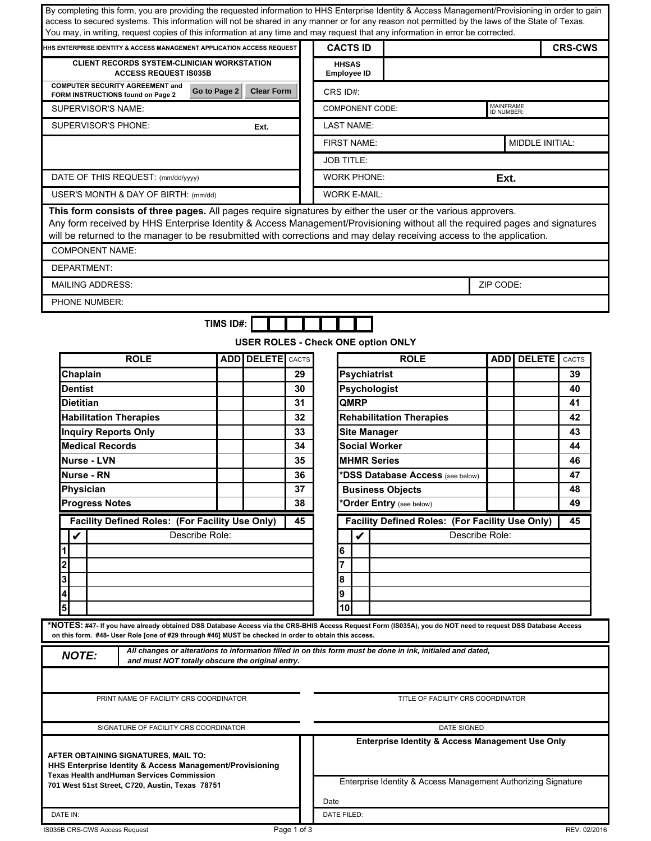| By completing this form, you are providing the requested information to HHS Enterprise Identity & Access Management/Provisioning in order to gain<br>access to secured systems. This information will not be shared in any manner or for any reason not permitted by the laws of the State of Texas.<br>You may, in writing, request copies of this information at any time and may request that any information in error be corrected. |                |                    |              |                                             |                                                                                                                              |                |                                |  |
|-----------------------------------------------------------------------------------------------------------------------------------------------------------------------------------------------------------------------------------------------------------------------------------------------------------------------------------------------------------------------------------------------------------------------------------------|----------------|--------------------|--------------|---------------------------------------------|------------------------------------------------------------------------------------------------------------------------------|----------------|--------------------------------|--|
| HHS ENTERPRISE IDENTITY & ACCESS MANAGEMENT APPLICATION ACCESS REQUEST                                                                                                                                                                                                                                                                                                                                                                  |                |                    |              | <b>CACTS ID</b>                             |                                                                                                                              |                | <b>CRS-CWS</b>                 |  |
| <b>CLIENT RECORDS SYSTEM-CLINICIAN WORKSTATION</b><br><b>ACCESS REQUEST IS035B</b>                                                                                                                                                                                                                                                                                                                                                      |                |                    |              | <b>HHSAS</b><br><b>Employee ID</b>          |                                                                                                                              |                |                                |  |
| <b>COMPUTER SECURITY AGREEMENT and</b><br>FORM INSTRUCTIONS found on Page 2                                                                                                                                                                                                                                                                                                                                                             | Go to Page 2   | <b>Clear Form</b>  |              | CRS ID#:                                    |                                                                                                                              |                |                                |  |
| <b>SUPERVISOR'S NAME:</b>                                                                                                                                                                                                                                                                                                                                                                                                               |                |                    |              | <b>COMPONENT CODE:</b>                      |                                                                                                                              |                | <b>MAINFRAME</b><br>ID NUMBER: |  |
| <b>SUPERVISOR'S PHONE:</b>                                                                                                                                                                                                                                                                                                                                                                                                              |                | Ext.               |              | <b>LAST NAME:</b>                           |                                                                                                                              |                |                                |  |
|                                                                                                                                                                                                                                                                                                                                                                                                                                         |                |                    |              | <b>FIRST NAME:</b>                          |                                                                                                                              |                | MIDDLE INITIAL:                |  |
|                                                                                                                                                                                                                                                                                                                                                                                                                                         |                |                    |              | <b>JOB TITLE:</b>                           |                                                                                                                              |                |                                |  |
| DATE OF THIS REQUEST: (mm/dd/yyyy)                                                                                                                                                                                                                                                                                                                                                                                                      |                | <b>WORK PHONE:</b> |              |                                             |                                                                                                                              | Ext.           |                                |  |
| USER'S MONTH & DAY OF BIRTH: (mm/dd)                                                                                                                                                                                                                                                                                                                                                                                                    |                |                    |              | <b>WORK E-MAIL:</b>                         |                                                                                                                              |                |                                |  |
| This form consists of three pages. All pages require signatures by either the user or the various approvers.<br>Any form received by HHS Enterprise Identity & Access Management/Provisioning without all the required pages and signatures<br>will be returned to the manager to be resubmitted with corrections and may delay receiving access to the application.                                                                    |                |                    |              |                                             |                                                                                                                              |                |                                |  |
| <b>COMPONENT NAME:</b>                                                                                                                                                                                                                                                                                                                                                                                                                  |                |                    |              |                                             |                                                                                                                              |                |                                |  |
| <b>DEPARTMENT:</b>                                                                                                                                                                                                                                                                                                                                                                                                                      |                |                    |              |                                             |                                                                                                                              |                |                                |  |
| <b>MAILING ADDRESS:</b>                                                                                                                                                                                                                                                                                                                                                                                                                 |                |                    |              |                                             |                                                                                                                              | ZIP CODE:      |                                |  |
| PHONE NUMBER:                                                                                                                                                                                                                                                                                                                                                                                                                           |                |                    |              |                                             |                                                                                                                              |                |                                |  |
|                                                                                                                                                                                                                                                                                                                                                                                                                                         | TIMS ID#:      |                    |              |                                             |                                                                                                                              |                |                                |  |
|                                                                                                                                                                                                                                                                                                                                                                                                                                         |                |                    |              | USER ROLES - Check ONE option ONLY          |                                                                                                                              |                |                                |  |
| <b>ROLE</b>                                                                                                                                                                                                                                                                                                                                                                                                                             |                | ADD DELETE         | <b>CACTS</b> |                                             | <b>ROLE</b>                                                                                                                  | <b>ADD</b>     | <b>DELETE</b><br><b>CACTS</b>  |  |
| Chaplain                                                                                                                                                                                                                                                                                                                                                                                                                                |                |                    | 29           | <b>Psychiatrist</b>                         |                                                                                                                              |                | 39                             |  |
| <b>Dentist</b><br><b>Dietitian</b>                                                                                                                                                                                                                                                                                                                                                                                                      |                |                    | 30<br>31     | Psychologist<br>QMRP                        |                                                                                                                              |                | 40<br>41                       |  |
| <b>Habilitation Therapies</b>                                                                                                                                                                                                                                                                                                                                                                                                           |                |                    | 32           |                                             | <b>Rehabilitation Therapies</b>                                                                                              |                | 42                             |  |
| <b>Inquiry Reports Only</b>                                                                                                                                                                                                                                                                                                                                                                                                             |                |                    | 33           |                                             |                                                                                                                              |                | 43                             |  |
| <b>Medical Records</b>                                                                                                                                                                                                                                                                                                                                                                                                                  |                |                    | 34           | <b>Site Manager</b><br><b>Social Worker</b> |                                                                                                                              | 44             |                                |  |
| <b>Nurse - LVN</b>                                                                                                                                                                                                                                                                                                                                                                                                                      |                |                    | 35           | <b>MHMR Series</b>                          |                                                                                                                              |                | 46                             |  |
| Nurse - RN                                                                                                                                                                                                                                                                                                                                                                                                                              |                |                    | 36           |                                             | *DSS Database Access (see below)                                                                                             |                | 47                             |  |
| Physician                                                                                                                                                                                                                                                                                                                                                                                                                               |                |                    | 37           |                                             | <b>Business Objects</b>                                                                                                      |                | 48                             |  |
| <b>Progress Notes</b>                                                                                                                                                                                                                                                                                                                                                                                                                   |                |                    | 38           |                                             | *Order Entry (see below)                                                                                                     |                | 49                             |  |
| Facility Defined Roles: (For Facility Use Only)                                                                                                                                                                                                                                                                                                                                                                                         |                |                    | 45           |                                             | Facility Defined Roles: (For Facility Use Only)                                                                              |                | 45                             |  |
| $\boldsymbol{\mathcal{U}}$                                                                                                                                                                                                                                                                                                                                                                                                              | Describe Role: |                    |              | V                                           |                                                                                                                              | Describe Role: |                                |  |
|                                                                                                                                                                                                                                                                                                                                                                                                                                         |                |                    |              | 6                                           |                                                                                                                              |                |                                |  |
| 3                                                                                                                                                                                                                                                                                                                                                                                                                                       |                |                    |              | 8                                           |                                                                                                                              |                |                                |  |
| 4                                                                                                                                                                                                                                                                                                                                                                                                                                       |                |                    |              | 9                                           |                                                                                                                              |                |                                |  |
| 5                                                                                                                                                                                                                                                                                                                                                                                                                                       |                |                    |              | 10                                          |                                                                                                                              |                |                                |  |
| *NOTES: #47- If you have already obtained DSS Database Access via the CRS-BHIS Access Request Form (IS035A), you do NOT need to request DSS Database Access                                                                                                                                                                                                                                                                             |                |                    |              |                                             |                                                                                                                              |                |                                |  |
| on this form. #48- User Role [one of #29 through #46] MUST be checked in order to obtain this access.                                                                                                                                                                                                                                                                                                                                   |                |                    |              |                                             |                                                                                                                              |                |                                |  |
| <b>NOTE:</b><br>and must NOT totally obscure the original entry.                                                                                                                                                                                                                                                                                                                                                                        |                |                    |              |                                             | All changes or alterations to information filled in on this form must be done in ink, initialed and dated,                   |                |                                |  |
|                                                                                                                                                                                                                                                                                                                                                                                                                                         |                |                    |              |                                             |                                                                                                                              |                |                                |  |
| PRINT NAME OF FACILITY CRS COORDINATOR                                                                                                                                                                                                                                                                                                                                                                                                  |                |                    |              |                                             | TITLE OF FACILITY CRS COORDINATOR                                                                                            |                |                                |  |
| SIGNATURE OF FACILITY CRS COORDINATOR                                                                                                                                                                                                                                                                                                                                                                                                   |                |                    |              | <b>DATE SIGNED</b>                          |                                                                                                                              |                |                                |  |
| AFTER OBTAINING SIGNATURES, MAIL TO:<br>HHS Enterprise Identity & Access Management/Provisioning<br><b>Texas Health andHuman Services Commission</b><br>701 West 51st Street, C720, Austin, Texas 78751                                                                                                                                                                                                                                 |                |                    |              |                                             | <b>Enterprise Identity &amp; Access Management Use Only</b><br>Enterprise Identity & Access Management Authorizing Signature |                |                                |  |
|                                                                                                                                                                                                                                                                                                                                                                                                                                         |                |                    |              | Date                                        |                                                                                                                              |                |                                |  |
| DATE IN:                                                                                                                                                                                                                                                                                                                                                                                                                                |                |                    |              | DATE FILED:                                 |                                                                                                                              |                |                                |  |
| IS035B CRS-CWS Access Request                                                                                                                                                                                                                                                                                                                                                                                                           |                |                    | Page 1 of 3  |                                             |                                                                                                                              |                | REV. 02/2016                   |  |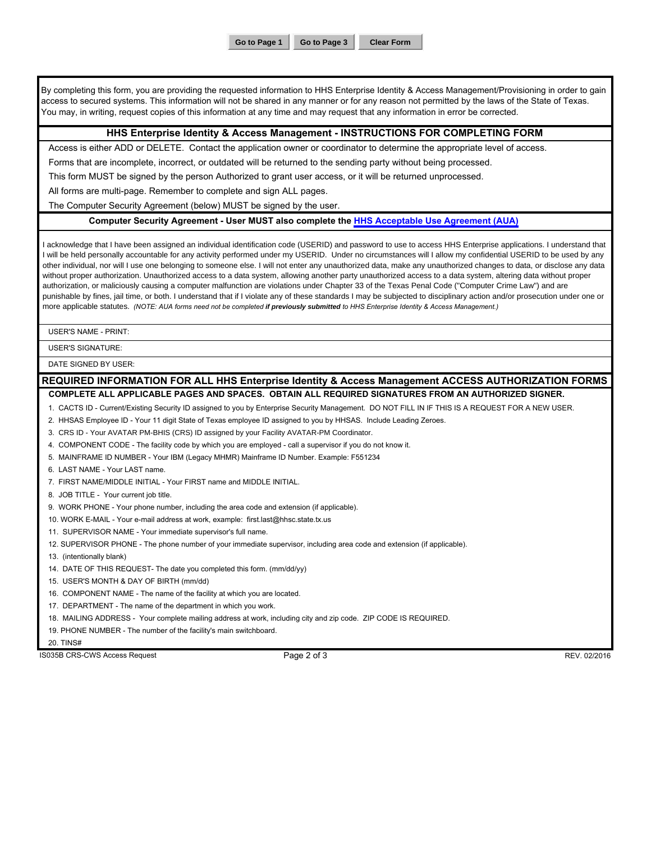**Go to Page 1 Go to Page 3 Clear Form**

By completing this form, you are providing the requested information to HHS Enterprise Identity & Access Management/Provisioning in order to gain access to secured systems. This information will not be shared in any manner or for any reason not permitted by the laws of the State of Texas. You may, in writing, request copies of this information at any time and may request that any information in error be corrected.

## **HHS Enterprise Identity & Access Management - INSTRUCTIONS FOR COMPLETING FORM**

Access is either ADD or DELETE. Contact the application owner or coordinator to determine the appropriate level of access.

Forms that are incomplete, incorrect, or outdated will be returned to the sending party without being processed.

This form MUST be signed by the person Authorized to grant user access, or it will be returned unprocessed.

All forms are multi-page. Remember to complete and sign ALL pages.

The Computer Security Agreement (below) MUST be signed by the user.

### **Computer Security Agreement - User MUST also complete the [HHS Acceptable Use Agreement \(AUA\)](http://hhscx.hhsc.texas.gov/sites/extranet/files/docs/it/forms/hhs-aua.pdf)**

I acknowledge that I have been assigned an individual identification code (USERID) and password to use to access HHS Enterprise applications. I understand that I will be held personally accountable for any activity performed under my USERID. Under no circumstances will I allow my confidential USERID to be used by any other individual, nor will I use one belonging to someone else. I will not enter any unauthorized data, make any unauthorized changes to data, or disclose any data without proper authorization. Unauthorized access to a data system, allowing another party unauthorized access to a data system, altering data without proper authorization, or maliciously causing a computer malfunction are violations under Chapter 33 of the Texas Penal Code ("Computer Crime Law") and are punishable by fines, jail time, or both. I understand that if I violate any of these standards I may be subjected to disciplinary action and/or prosecution under one or more applicable statutes. *(NOTE: AUA forms need not be completed if previously submitted to HHS Enterprise Identity & Access Management.)*

USER'S NAME - PRINT:

USER'S SIGNATURE:

DATE SIGNED BY USER:

## **REQUIRED INFORMATION FOR ALL HHS Enterprise Identity & Access Management ACCESS AUTHORIZATION FORMS**

### **COMPLETE ALL APPLICABLE PAGES AND SPACES. OBTAIN ALL REQUIRED SIGNATURES FROM AN AUTHORIZED SIGNER.**

1. CACTS ID - Current/Existing Security ID assigned to you by Enterprise Security Management. DO NOT FILL IN IF THIS IS A REQUEST FOR A NEW USER.

2. HHSAS Employee ID - Your 11 digit State of Texas employee ID assigned to you by HHSAS. Include Leading Zeroes.

3. CRS ID - Your AVATAR PM-BHIS (CRS) ID assigned by your Facility AVATAR-PM Coordinator.

- 4. COMPONENT CODE The facility code by which you are employed call a supervisor if you do not know it.
- 5. MAINFRAME ID NUMBER Your IBM (Legacy MHMR) Mainframe ID Number. Example: F551234

6. LAST NAME - Your LAST name.

- 7. FIRST NAME/MIDDLE INITIAL Your FIRST name and MIDDLE INITIAL.
- 8. JOB TITLE Your current job title.
- 9. WORK PHONE Your phone number, including the area code and extension (if applicable).
- 10. WORK E-MAIL Your e-mail address at work, example: first.last@hhsc.state.tx.us
- 11. SUPERVISOR NAME Your immediate supervisor's full name.
- 12. SUPERVISOR PHONE The phone number of your immediate supervisor, including area code and extension (if applicable).
- 13. (intentionally blank)
- 14. DATE OF THIS REQUEST- The date you completed this form. (mm/dd/yy)
- 15. USER'S MONTH & DAY OF BIRTH (mm/dd)
- 16. COMPONENT NAME The name of the facility at which you are located.
- 17. DEPARTMENT The name of the department in which you work.
- 18. MAILING ADDRESS Your complete mailing address at work, including city and zip code. ZIP CODE IS REQUIRED.
- 19. PHONE NUMBER The number of the facility's main switchboard.

20. TINS#

IS035B CRS-CWS Access Request **Page 2 of 3** REV. 02/2016